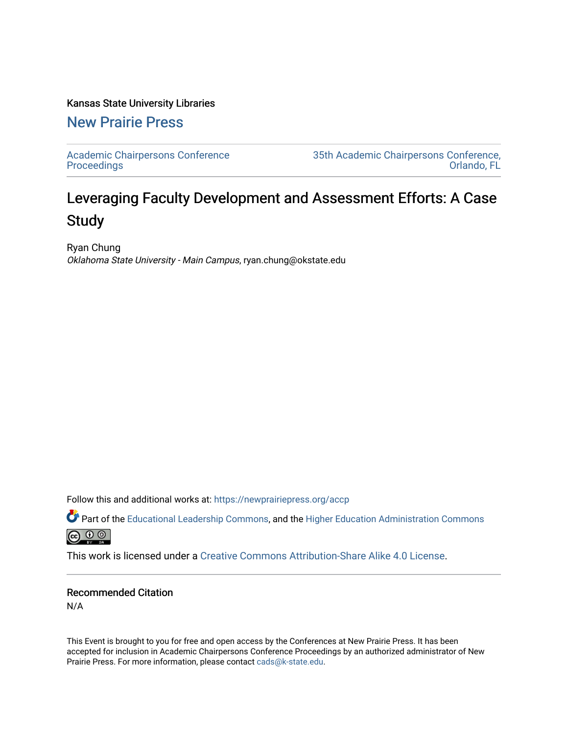## Kansas State University Libraries

[New Prairie Press](https://newprairiepress.org/) 

[Academic Chairpersons Conference](https://newprairiepress.org/accp)  **Proceedings** 

[35th Academic Chairpersons Conference,](https://newprairiepress.org/accp/2018)  [Orlando, FL](https://newprairiepress.org/accp/2018) 

## Leveraging Faculty Development and Assessment Efforts: A Case Study

Ryan Chung Oklahoma State University - Main Campus, ryan.chung@okstate.edu

Follow this and additional works at: [https://newprairiepress.org/accp](https://newprairiepress.org/accp?utm_source=newprairiepress.org%2Faccp%2F2018%2Fassessment%2F3&utm_medium=PDF&utm_campaign=PDFCoverPages) 

Part of the [Educational Leadership Commons,](http://network.bepress.com/hgg/discipline/1230?utm_source=newprairiepress.org%2Faccp%2F2018%2Fassessment%2F3&utm_medium=PDF&utm_campaign=PDFCoverPages) and the [Higher Education Administration Commons](http://network.bepress.com/hgg/discipline/791?utm_source=newprairiepress.org%2Faccp%2F2018%2Fassessment%2F3&utm_medium=PDF&utm_campaign=PDFCoverPages)



This work is licensed under a [Creative Commons Attribution-Share Alike 4.0 License.](https://creativecommons.org/licenses/by-sa/4.0/)

## Recommended Citation

N/A

This Event is brought to you for free and open access by the Conferences at New Prairie Press. It has been accepted for inclusion in Academic Chairpersons Conference Proceedings by an authorized administrator of New Prairie Press. For more information, please contact [cads@k-state.edu.](mailto:cads@k-state.edu)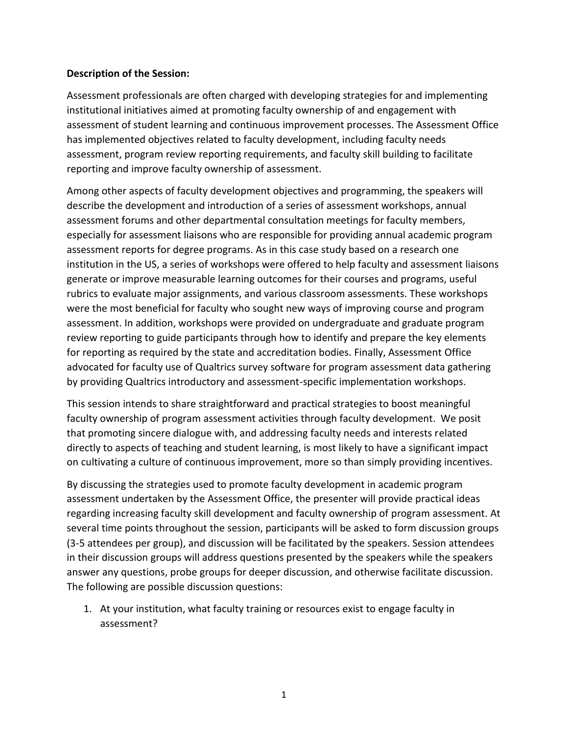## **Description of the Session:**

Assessment professionals are often charged with developing strategies for and implementing institutional initiatives aimed at promoting faculty ownership of and engagement with assessment of student learning and continuous improvement processes. The Assessment Office has implemented objectives related to faculty development, including faculty needs assessment, program review reporting requirements, and faculty skill building to facilitate reporting and improve faculty ownership of assessment.

Among other aspects of faculty development objectives and programming, the speakers will describe the development and introduction of a series of assessment workshops, annual assessment forums and other departmental consultation meetings for faculty members, especially for assessment liaisons who are responsible for providing annual academic program assessment reports for degree programs. As in this case study based on a research one institution in the US, a series of workshops were offered to help faculty and assessment liaisons generate or improve measurable learning outcomes for their courses and programs, useful rubrics to evaluate major assignments, and various classroom assessments. These workshops were the most beneficial for faculty who sought new ways of improving course and program assessment. In addition, workshops were provided on undergraduate and graduate program review reporting to guide participants through how to identify and prepare the key elements for reporting as required by the state and accreditation bodies. Finally, Assessment Office advocated for faculty use of Qualtrics survey software for program assessment data gathering by providing Qualtrics introductory and assessment-specific implementation workshops.

This session intends to share straightforward and practical strategies to boost meaningful faculty ownership of program assessment activities through faculty development. We posit that promoting sincere dialogue with, and addressing faculty needs and interests related directly to aspects of teaching and student learning, is most likely to have a significant impact on cultivating a culture of continuous improvement, more so than simply providing incentives.

By discussing the strategies used to promote faculty development in academic program assessment undertaken by the Assessment Office, the presenter will provide practical ideas regarding increasing faculty skill development and faculty ownership of program assessment. At several time points throughout the session, participants will be asked to form discussion groups (3-5 attendees per group), and discussion will be facilitated by the speakers. Session attendees in their discussion groups will address questions presented by the speakers while the speakers answer any questions, probe groups for deeper discussion, and otherwise facilitate discussion. The following are possible discussion questions:

1. At your institution, what faculty training or resources exist to engage faculty in assessment?